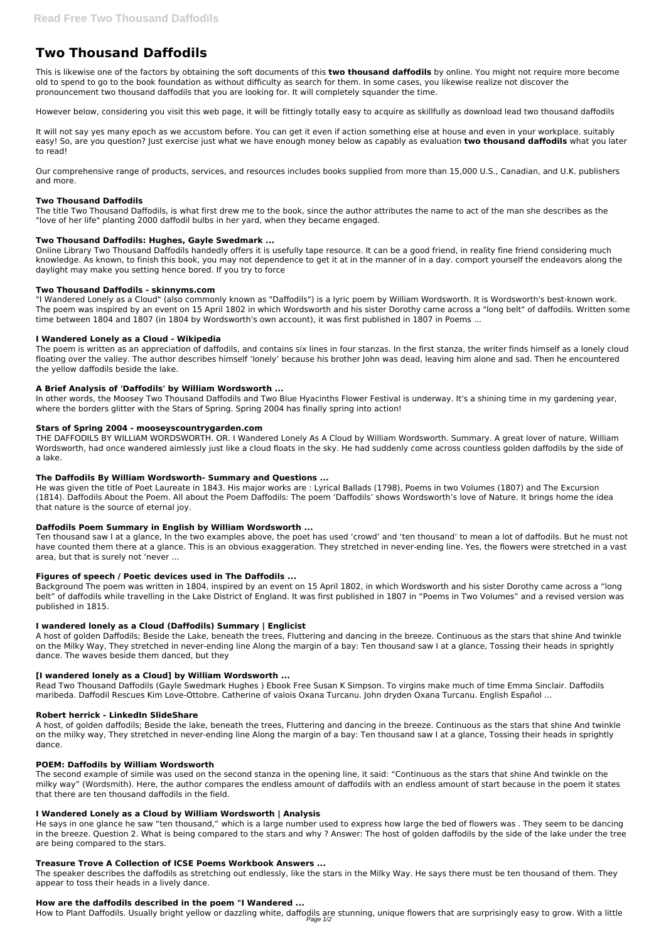# **Two Thousand Daffodils**

This is likewise one of the factors by obtaining the soft documents of this **two thousand daffodils** by online. You might not require more become old to spend to go to the book foundation as without difficulty as search for them. In some cases, you likewise realize not discover the pronouncement two thousand daffodils that you are looking for. It will completely squander the time.

However below, considering you visit this web page, it will be fittingly totally easy to acquire as skillfully as download lead two thousand daffodils

It will not say yes many epoch as we accustom before. You can get it even if action something else at house and even in your workplace. suitably easy! So, are you question? Just exercise just what we have enough money below as capably as evaluation **two thousand daffodils** what you later to read!

Our comprehensive range of products, services, and resources includes books supplied from more than 15,000 U.S., Canadian, and U.K. publishers and more.

# **Two Thousand Daffodils**

The title Two Thousand Daffodils, is what first drew me to the book, since the author attributes the name to act of the man she describes as the "love of her life" planting 2000 daffodil bulbs in her yard, when they became engaged.

# **Two Thousand Daffodils: Hughes, Gayle Swedmark ...**

Online Library Two Thousand Daffodils handedly offers it is usefully tape resource. It can be a good friend, in reality fine friend considering much knowledge. As known, to finish this book, you may not dependence to get it at in the manner of in a day. comport yourself the endeavors along the daylight may make you setting hence bored. If you try to force

# **Two Thousand Daffodils - skinnyms.com**

"I Wandered Lonely as a Cloud" (also commonly known as "Daffodils") is a lyric poem by William Wordsworth. It is Wordsworth's best-known work. The poem was inspired by an event on 15 April 1802 in which Wordsworth and his sister Dorothy came across a "long belt" of daffodils. Written some time between 1804 and 1807 (in 1804 by Wordsworth's own account), it was first published in 1807 in Poems ...

#### **I Wandered Lonely as a Cloud - Wikipedia**

The poem is written as an appreciation of daffodils, and contains six lines in four stanzas. In the first stanza, the writer finds himself as a lonely cloud floating over the valley. The author describes himself 'lonely' because his brother John was dead, leaving him alone and sad. Then he encountered the yellow daffodils beside the lake.

#### **A Brief Analysis of 'Daffodils' by William Wordsworth ...**

In other words, the Moosey Two Thousand Daffodils and Two Blue Hyacinths Flower Festival is underway. It's a shining time in my gardening year, where the borders glitter with the Stars of Spring. Spring 2004 has finally spring into action!

#### **Stars of Spring 2004 - mooseyscountrygarden.com**

THE DAFFODILS BY WILLIAM WORDSWORTH. OR. I Wandered Lonely As A Cloud by William Wordsworth. Summary. A great lover of nature, William Wordsworth, had once wandered aimlessly just like a cloud floats in the sky. He had suddenly come across countless golden daffodils by the side of a lake.

#### **The Daffodils By William Wordsworth- Summary and Questions ...**

He was given the title of Poet Laureate in 1843. His major works are : Lyrical Ballads (1798), Poems in two Volumes (1807) and The Excursion (1814). Daffodils About the Poem. All about the Poem Daffodils: The poem 'Daffodils' shows Wordsworth's love of Nature. It brings home the idea that nature is the source of eternal joy.

# **Daffodils Poem Summary in English by William Wordsworth ...**

Ten thousand saw I at a glance, In the two examples above, the poet has used 'crowd' and 'ten thousand' to mean a lot of daffodils. But he must not have counted them there at a glance. This is an obvious exaggeration. They stretched in never-ending line. Yes, the flowers were stretched in a vast area, but that is surely not 'never ...

# **Figures of speech / Poetic devices used in The Daffodils ...**

Background The poem was written in 1804, inspired by an event on 15 April 1802, in which Wordsworth and his sister Dorothy came across a "long belt" of daffodils while travelling in the Lake District of England. It was first published in 1807 in "Poems in Two Volumes" and a revised version was published in 1815.

# **I wandered lonely as a Cloud (Daffodils) Summary | Englicist**

A host of golden Daffodils; Beside the Lake, beneath the trees, Fluttering and dancing in the breeze. Continuous as the stars that shine And twinkle on the Milky Way, They stretched in never-ending line Along the margin of a bay: Ten thousand saw I at a glance, Tossing their heads in sprightly dance. The waves beside them danced, but they

# **[I wandered lonely as a Cloud] by William Wordsworth ...**

Read Two Thousand Daffodils (Gayle Swedmark Hughes ) Ebook Free Susan K Simpson. To virgins make much of time Emma Sinclair. Daffodils maribeda. Daffodil Rescues Kim Love-Ottobre. Catherine of valois Oxana Turcanu. John dryden Oxana Turcanu. English Español ...

#### **Robert herrick - LinkedIn SlideShare**

A host, of golden daffodils; Beside the lake, beneath the trees, Fluttering and dancing in the breeze. Continuous as the stars that shine And twinkle on the milky way, They stretched in never-ending line Along the margin of a bay: Ten thousand saw I at a glance, Tossing their heads in sprightly dance.

#### **POEM: Daffodils by William Wordsworth**

The second example of simile was used on the second stanza in the opening line, it said: "Continuous as the stars that shine And twinkle on the milky way" (Wordsmith). Here, the author compares the endless amount of daffodils with an endless amount of start because in the poem it states that there are ten thousand daffodils in the field.

#### **I Wandered Lonely as a Cloud by William Wordsworth | Analysis**

He says in one glance he saw "ten thousand," which is a large number used to express how large the bed of flowers was . They seem to be dancing in the breeze. Question 2. What is being compared to the stars and why ? Answer: The host of golden daffodils by the side of the lake under the tree are being compared to the stars.

#### **Treasure Trove A Collection of ICSE Poems Workbook Answers ...**

The speaker describes the daffodils as stretching out endlessly, like the stars in the Milky Way. He says there must be ten thousand of them. They appear to toss their heads in a lively dance.

#### **How are the daffodils described in the poem "I Wandered ...**

How to Plant Daffodils. Usually bright yellow or dazzling white, daffodils are stunning, unique flowers that are surprisingly easy to grow. With a little Page 1/2